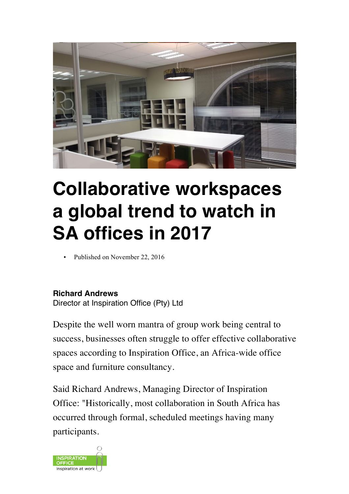

## **Collaborative workspaces a global trend to watch in SA offices in 2017**

Published on November 22, 2016

## **Richard Andrews**

Director at Inspiration Office (Pty) Ltd

Despite the well worn mantra of group work being central to success, businesses often struggle to offer effective collaborative spaces according to Inspiration Office, an Africa-wide office space and furniture consultancy.

Said Richard Andrews, Managing Director of Inspiration Office: "Historically, most collaboration in South Africa has occurred through formal, scheduled meetings having many participants.

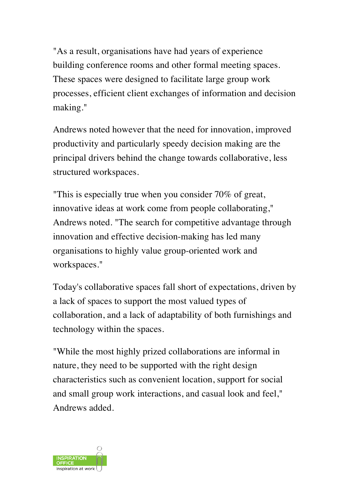"As a result, organisations have had years of experience building conference rooms and other formal meeting spaces. These spaces were designed to facilitate large group work processes, efficient client exchanges of information and decision making."

Andrews noted however that the need for innovation, improved productivity and particularly speedy decision making are the principal drivers behind the change towards collaborative, less structured workspaces.

"This is especially true when you consider 70% of great, innovative ideas at work come from people collaborating," Andrews noted. "The search for competitive advantage through innovation and effective decision-making has led many organisations to highly value group-oriented work and workspaces."

Today's collaborative spaces fall short of expectations, driven by a lack of spaces to support the most valued types of collaboration, and a lack of adaptability of both furnishings and technology within the spaces.

"While the most highly prized collaborations are informal in nature, they need to be supported with the right design characteristics such as convenient location, support for social and small group work interactions, and casual look and feel," Andrews added.

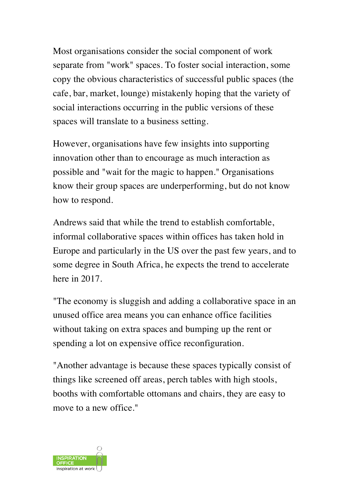Most organisations consider the social component of work separate from "work" spaces. To foster social interaction, some copy the obvious characteristics of successful public spaces (the cafe, bar, market, lounge) mistakenly hoping that the variety of social interactions occurring in the public versions of these spaces will translate to a business setting.

However, organisations have few insights into supporting innovation other than to encourage as much interaction as possible and "wait for the magic to happen." Organisations know their group spaces are underperforming, but do not know how to respond.

Andrews said that while the trend to establish comfortable, informal collaborative spaces within offices has taken hold in Europe and particularly in the US over the past few years, and to some degree in South Africa, he expects the trend to accelerate here in 2017.

"The economy is sluggish and adding a collaborative space in an unused office area means you can enhance office facilities without taking on extra spaces and bumping up the rent or spending a lot on expensive office reconfiguration.

"Another advantage is because these spaces typically consist of things like screened off areas, perch tables with high stools, booths with comfortable ottomans and chairs, they are easy to move to a new office."